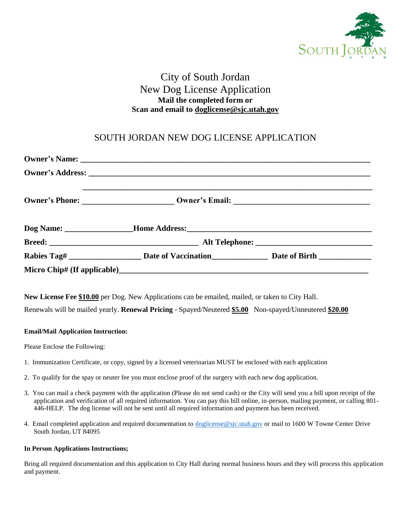

# City of South Jordan New Dog License Application **Mail the completed form or Scan and email to doglicense@sjc.utah.gov**

## SOUTH JORDAN NEW DOG LICENSE APPLICATION

| New License Fee \$10.00 per Dog. New Applications can be emailed, mailed, or taken to City Hall.<br>Renewals will be mailed yearly. Renewal Pricing - Spayed/Neutered \$5.00 Non-spayed/Unneutered \$20.00 |  |  |  |
|------------------------------------------------------------------------------------------------------------------------------------------------------------------------------------------------------------|--|--|--|
| <b>Email/Mail Application Instruction:</b>                                                                                                                                                                 |  |  |  |
| Please Enclose the Following:                                                                                                                                                                              |  |  |  |
| 1. Immunization Certificate, or copy, signed by a licensed veterinarian MUST be enclosed with each application                                                                                             |  |  |  |
| 2. To qualify for the spay or neuter fee you must enclose proof of the surgery with each new dog application.                                                                                              |  |  |  |

- 3. You can mail a check payment with the application (Please do not send cash) or the City will send you a bill upon receipt of the application and verification of all required information. You can pay this bill online, in-person, mailing payment, or calling 801- 446-HELP. The dog license will not be sent until all required information and payment has been received.
- 4. Email completed application and required documentation to [doglicense@sjc.utah.gov](mailto:doglicense@sjc.utah.gov) or mail to 1600 W Towne Center Drive South Jordan, UT 84095

#### **In Person Applications Instructions;**

Bring all required documentation and this application to City Hall during normal business hours and they will process this application and payment.